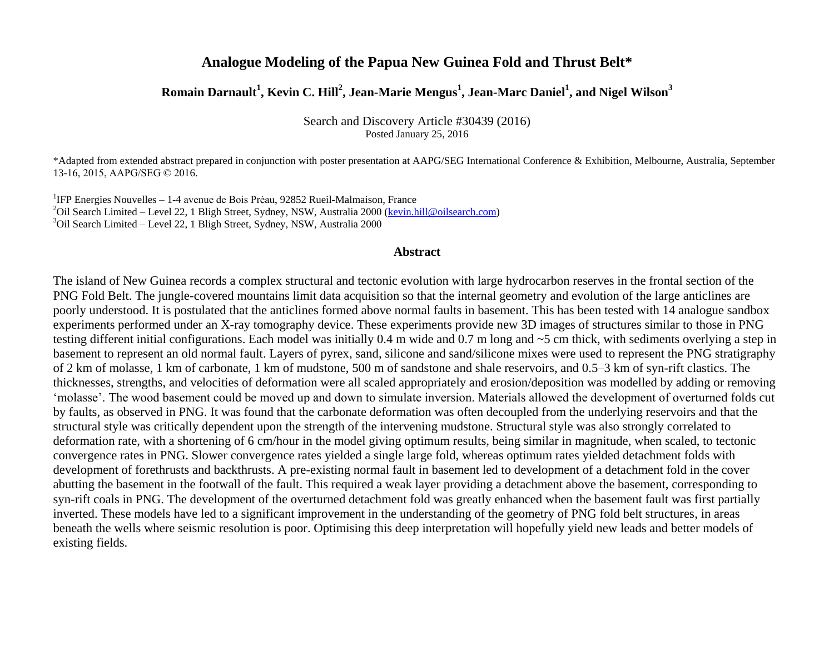# **Analogue Modeling of the Papua New Guinea Fold and Thrust Belt\***

# **Romain Darnault<sup>1</sup> , Kevin C. Hill<sup>2</sup> , Jean-Marie Mengus<sup>1</sup> , Jean-Marc Daniel<sup>1</sup> , and Nigel Wilson<sup>3</sup>**

Search and Discovery Article #30439 (2016) Posted January 25, 2016

\*Adapted from extended abstract prepared in conjunction with poster presentation at AAPG/SEG International Conference & Exhibition, Melbourne, Australia, September 13-16, 2015, AAPG/SEG © 2016.

<sup>1</sup>IFP Energies Nouvelles - 1-4 avenue de Bois Préau, 92852 Rueil-Malmaison, France <sup>2</sup>Oil Search Limited – Level 22, 1 Bligh Street, Sydney, NSW, Australia 2000 (kevin.hill@oilsearch.com) <sup>3</sup>Oil Search Limited – Level 22, 1 Bligh Street, Sydney, NSW, Australia 2000

#### **Abstract**

The island of New Guinea records a complex structural and tectonic evolution with large hydrocarbon reserves in the frontal section of the PNG Fold Belt. The jungle-covered mountains limit data acquisition so that the internal geometry and evolution of the large anticlines are poorly understood. It is postulated that the anticlines formed above normal faults in basement. This has been tested with 14 analogue sandbox experiments performed under an X-ray tomography device. These experiments provide new 3D images of structures similar to those in PNG testing different initial configurations. Each model was initially 0.4 m wide and 0.7 m long and ~5 cm thick, with sediments overlying a step in basement to represent an old normal fault. Layers of pyrex, sand, silicone and sand/silicone mixes were used to represent the PNG stratigraphy of 2 km of molasse, 1 km of carbonate, 1 km of mudstone, 500 m of sandstone and shale reservoirs, and 0.5–3 km of syn-rift clastics. The thicknesses, strengths, and velocities of deformation were all scaled appropriately and erosion/deposition was modelled by adding or removing 'molasse'. The wood basement could be moved up and down to simulate inversion. Materials allowed the development of overturned folds cut by faults, as observed in PNG. It was found that the carbonate deformation was often decoupled from the underlying reservoirs and that the structural style was critically dependent upon the strength of the intervening mudstone. Structural style was also strongly correlated to deformation rate, with a shortening of 6 cm/hour in the model giving optimum results, being similar in magnitude, when scaled, to tectonic convergence rates in PNG. Slower convergence rates yielded a single large fold, whereas optimum rates yielded detachment folds with development of forethrusts and backthrusts. A pre-existing normal fault in basement led to development of a detachment fold in the cover abutting the basement in the footwall of the fault. This required a weak layer providing a detachment above the basement, corresponding to syn-rift coals in PNG. The development of the overturned detachment fold was greatly enhanced when the basement fault was first partially inverted. These models have led to a significant improvement in the understanding of the geometry of PNG fold belt structures, in areas beneath the wells where seismic resolution is poor. Optimising this deep interpretation will hopefully yield new leads and better models of existing fields.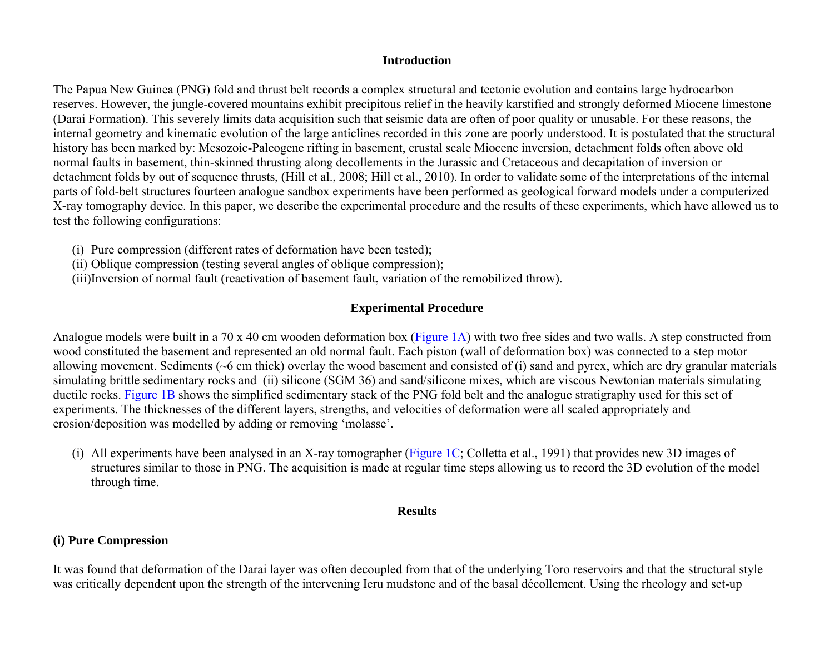## **Introduction**

The Papua New Guinea (PNG) fold and thrust belt records a complex structural and tectonic evolution and contains large hydrocarbon reserves. However, the jungle-covered mountains exhibit precipitous relief in the heavily karstified and strongly deformed Miocene limestone (Darai Formation). This severely limits data acquisition such that seismic data are often of poor quality or unusable. For these reasons, the internal geometry and kinematic evolution of the large anticlines recorded in this zone are poorly understood. It is postulated that the structural history has been marked by: Mesozoic-Paleogene rifting in basement, crustal scale Miocene inversion, detachment folds often above old normal faults in basement, thin-skinned thrusting along decollements in the Jurassic and Cretaceous and decapitation of inversion or detachment folds by out of sequence thrusts, (Hill et al., 2008; Hill et al., 2010). In order to validate some of the interpretations of the internal parts of fold-belt structures fourteen analogue sandbox experiments have been performed as geological forward models under a computerized X-ray tomography device. In this paper, we describe the experimental procedure and the results of these experiments, which have allowed us to test the following configurations:

- (i) Pure compression (different rates of deformation have been tested);
- (ii) Oblique compression (testing several angles of oblique compression);
- (iii)Inversion of normal fault (reactivation of basement fault, variation of the remobilized throw).

# **Experimental Procedure**

Analogue models were built in a 70 x 40 cm wooden deformation box [\(Figure 1A](#page-4-0)) with two free sides and two walls. A step constructed from wood constituted the basement and represented an old normal fault. Each piston (wall of deformation box) was connected to a step motor allowing movement. Sediments (~6 cm thick) overlay the wood basement and consisted of (i) sand and pyrex, which are dry granular materials simulating brittle sedimentary rocks and (ii) silicone (SGM 36) and sand/silicone mixes, which are viscous Newtonian materials simulating ductile rocks. [Figure 1B](#page-4-0) shows the simplified sedimentary stack of the PNG fold belt and the analogue stratigraphy used for this set of experiments. The thicknesses of the different layers, strengths, and velocities of deformation were all scaled appropriately and erosion/deposition was modelled by adding or removing 'molasse'.

(i) All experiments have been analysed in an X-ray tomographer [\(Figure 1C;](#page-4-0) Colletta et al., 1991) that provides new 3D images of structures similar to those in PNG. The acquisition is made at regular time steps allowing us to record the 3D evolution of the model through time.

#### **Results**

#### **(i) Pure Compression**

It was found that deformation of the Darai layer was often decoupled from that of the underlying Toro reservoirs and that the structural style was critically dependent upon the strength of the intervening Ieru mudstone and of the basal décollement. Using the rheology and set-up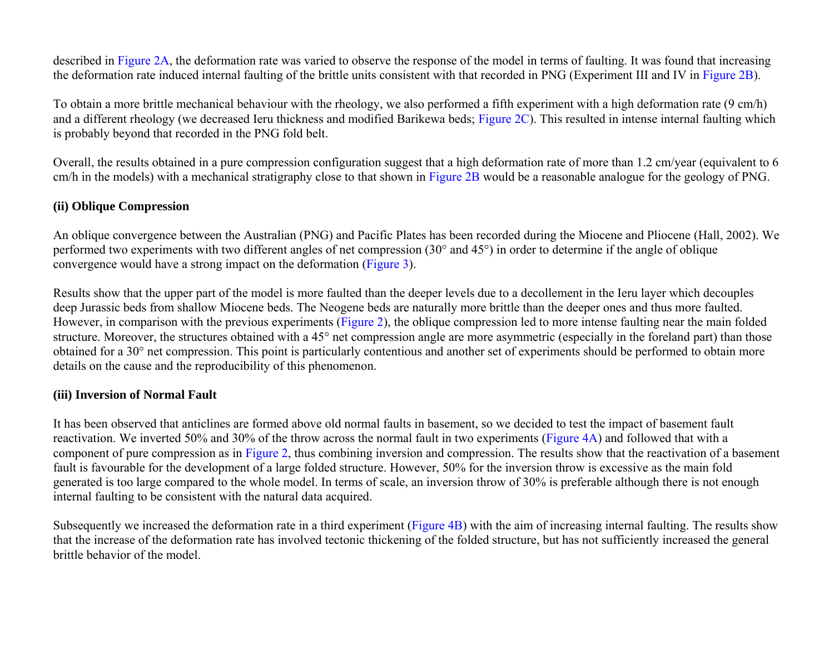described i[n Figure 2A,](#page-5-0) the deformation rate was varied to observe the response of the model in terms of faulting. It was found that increasing the deformation rate induced internal faulting of the brittle units consistent with that recorded in PNG (Experiment III and IV in [Figure 2B\)](#page-5-0).

To obtain a more brittle mechanical behaviour with the rheology, we also performed a fifth experiment with a high deformation rate (9 cm/h) and a different rheology (we decreased Ieru thickness and modified Barikewa beds[; Figure 2C\)](#page-5-0). This resulted in intense internal faulting which is probably beyond that recorded in the PNG fold belt.

Overall, the results obtained in a pure compression configuration suggest that a high deformation rate of more than 1.2 cm/year (equivalent to 6 cm/h in the models) with a mechanical stratigraphy close to that shown in [Figure 2B](#page-5-0) would be a reasonable analogue for the geology of PNG.

# **(ii) Oblique Compression**

An oblique convergence between the Australian (PNG) and Pacific Plates has been recorded during the Miocene and Pliocene (Hall, 2002). We performed two experiments with two different angles of net compression (30° and 45°) in order to determine if the angle of oblique convergence would have a strong impact on the deformation [\(Figure 3\)](#page-6-0).

Results show that the upper part of the model is more faulted than the deeper levels due to a decollement in the Ieru layer which decouples deep Jurassic beds from shallow Miocene beds. The Neogene beds are naturally more brittle than the deeper ones and thus more faulted. However, in comparison with the previous experiments [\(Figure 2\)](#page-5-0), the oblique compression led to more intense faulting near the main folded structure. Moreover, the structures obtained with a 45° net compression angle are more asymmetric (especially in the foreland part) than those obtained for a 30° net compression. This point is particularly contentious and another set of experiments should be performed to obtain more details on the cause and the reproducibility of this phenomenon.

# **(iii) Inversion of Normal Fault**

It has been observed that anticlines are formed above old normal faults in basement, so we decided to test the impact of basement fault reactivation. We inverted 50% and 30% of the throw across the normal fault in two experiments [\(Figure 4A\)](#page-7-0) and followed that with a component of pure compression as in [Figure 2](#page-5-0), thus combining inversion and compression. The results show that the reactivation of a basement fault is favourable for the development of a large folded structure. However, 50% for the inversion throw is excessive as the main fold generated is too large compared to the whole model. In terms of scale, an inversion throw of 30% is preferable although there is not enough internal faulting to be consistent with the natural data acquired.

Subsequently we increased the deformation rate in a third experiment [\(Figure 4B\)](#page-7-0) with the aim of increasing internal faulting. The results show that the increase of the deformation rate has involved tectonic thickening of the folded structure, but has not sufficiently increased the general brittle behavior of the model.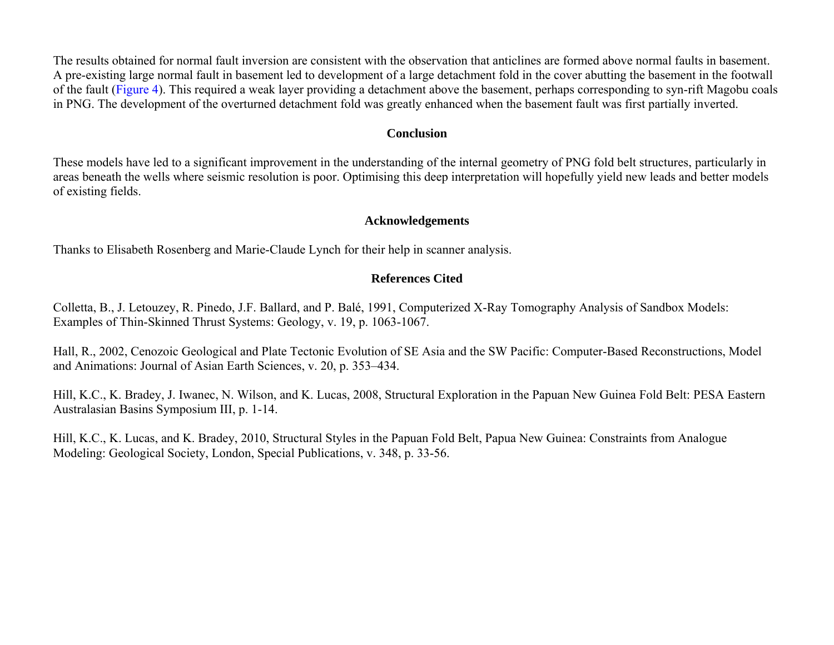The results obtained for normal fault inversion are consistent with the observation that anticlines are formed above normal faults in basement. A pre-existing large normal fault in basement led to development of a large detachment fold in the cover abutting the basement in the footwall of the fault [\(Figure 4\)](#page-7-0). This required a weak layer providing a detachment above the basement, perhaps corresponding to syn-rift Magobu coals in PNG. The development of the overturned detachment fold was greatly enhanced when the basement fault was first partially inverted.

### **Conclusion**

These models have led to a significant improvement in the understanding of the internal geometry of PNG fold belt structures, particularly in areas beneath the wells where seismic resolution is poor. Optimising this deep interpretation will hopefully yield new leads and better models of existing fields.

#### **Acknowledgements**

Thanks to Elisabeth Rosenberg and Marie-Claude Lynch for their help in scanner analysis.

## **References Cited**

Colletta, B., J. Letouzey, R. Pinedo, J.F. Ballard, and P. Balé, 1991, Computerized X-Ray Tomography Analysis of Sandbox Models: Examples of Thin-Skinned Thrust Systems: Geology, v. 19, p. 1063-1067.

Hall, R., 2002, Cenozoic Geological and Plate Tectonic Evolution of SE Asia and the SW Pacific: Computer-Based Reconstructions, Model and Animations: Journal of Asian Earth Sciences, v. 20, p. 353–434.

Hill, K.C., K. Bradey, J. Iwanec, N. Wilson, and K. Lucas, 2008, Structural Exploration in the Papuan New Guinea Fold Belt: PESA Eastern Australasian Basins Symposium III, p. 1-14.

Hill, K.C., K. Lucas, and K. Bradey, 2010, Structural Styles in the Papuan Fold Belt, Papua New Guinea: Constraints from Analogue Modeling: Geological Society, London, Special Publications, v. 348, p. 33-56.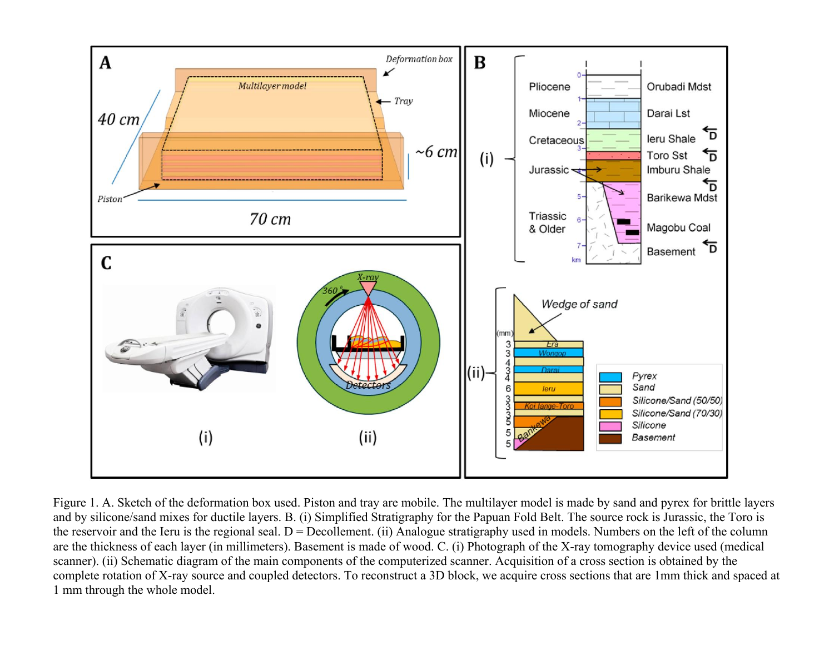<span id="page-4-0"></span>

Figure 1. A. Sketch of the deformation box used. Piston and tray are mobile. The multilayer model is made by sand and pyrex for brittle layers and by silicone/sand mixes for ductile layers. B. (i) Simplified Stratigraphy for the Papuan Fold Belt. The source rock is Jurassic, the Toro is the reservoir and the Ieru is the regional seal.  $D = Decollement$ . (ii) Analogue stratigraphy used in models. Numbers on the left of the column are the thickness of each layer (in millimeters). Basement is made of wood. C. (i) Photograph of the X-ray tomography device used (medical scanner). (ii) Schematic diagram of the main components of the computerized scanner. Acquisition of a cross section is obtained by the complete rotation of X-ray source and coupled detectors. To reconstruct a 3D block, we acquire cross sections that are 1mm thick and spaced at 1 mm through the whole model.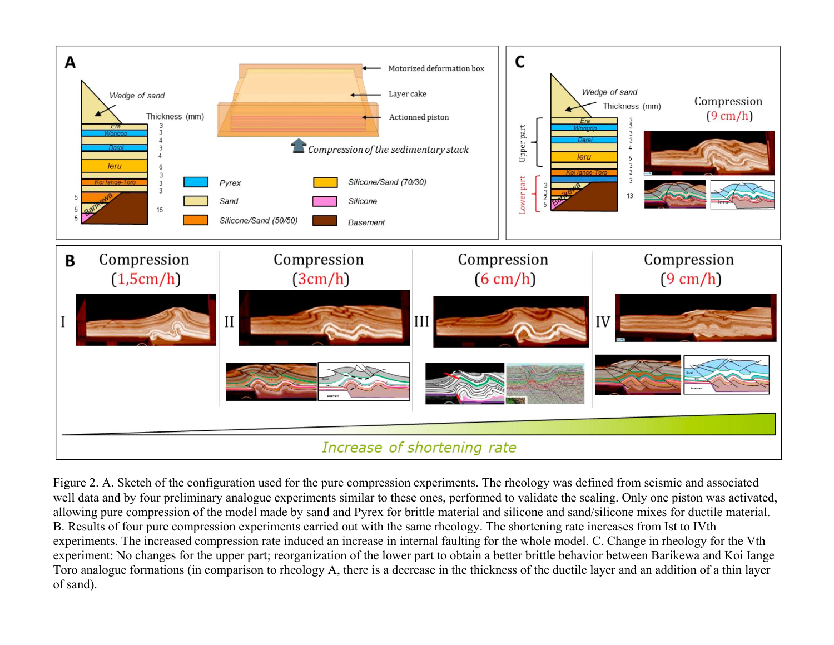<span id="page-5-0"></span>

Figure 2. A. Sketch of the configuration used for the pure compression experiments. The rheology was defined from seismic and associated well data and by four preliminary analogue experiments similar to these ones, performed to validate the scaling. Only one piston was activated, allowing pure compression of the model made by sand and Pyrex for brittle material and silicone and sand/silicone mixes for ductile material. B. Results of four pure compression experiments carried out with the same rheology. The shortening rate increases from Ist to IVth experiments. The increased compression rate induced an increase in internal faulting for the whole model. C. Change in rheology for the Vth experiment: No changes for the upper part; reorganization of the lower part to obtain a better brittle behavior between Barikewa and Koi Iange Toro analogue formations (in comparison to rheology A, there is a decrease in the thickness of the ductile layer and an addition of a thin layer of sand).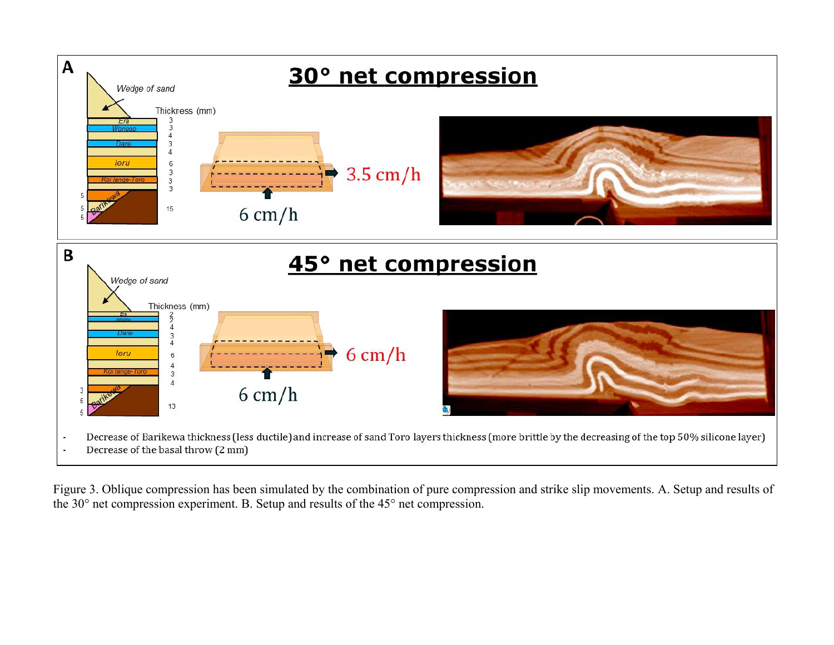<span id="page-6-0"></span>

Figure 3. Oblique compression has been simulated by the combination of pure compression and strike slip movements. A. Setup and results of the 30° net compression experiment. B. Setup and results of the 45° net compression.